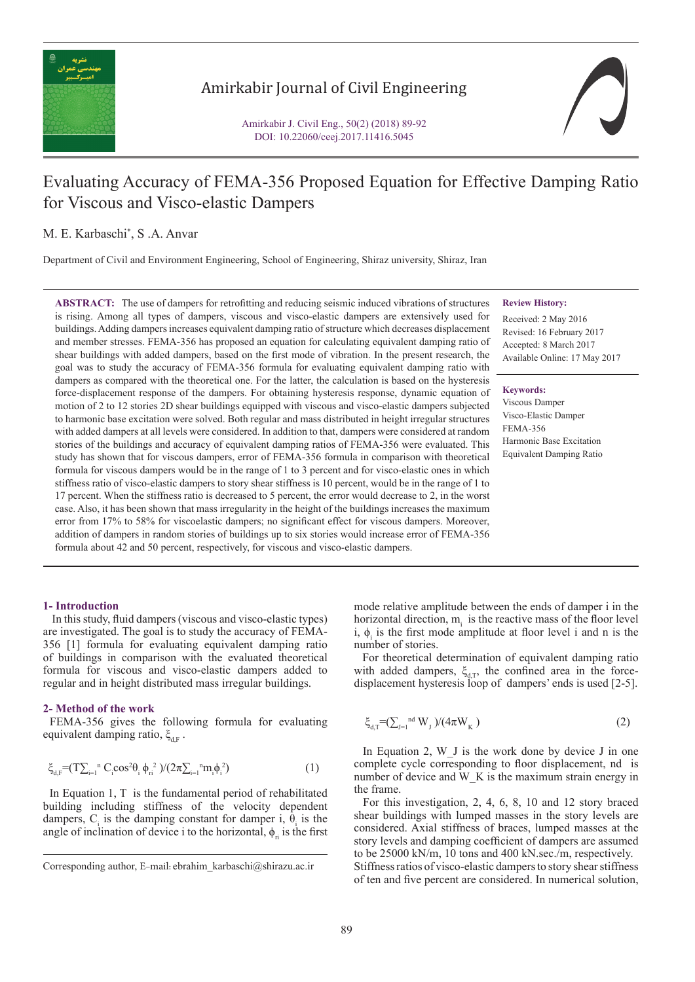

# Amirkabir Journal of Civil Engineering

Amirkabir J. Civil Eng., 50(2) (2018) 89-92 DOI: 10.22060/ceej.2017.11416.5045

# Evaluating Accuracy of FEMA-356 Proposed Equation for Effective Damping Ratio for Viscous and Visco-elastic Dampers

# M. E. Karbaschi\* , S .A. Anvar

Department of Civil and Environment Engineering, School of Engineering, Shiraz university, Shiraz, Iran

**ABSTRACT:** The use of dampers for retrofitting and reducing seismic induced vibrations of structures is rising. Among all types of dampers, viscous and visco-elastic dampers are extensively used for buildings. Adding dampers increases equivalent damping ratio of structure which decreases displacement and member stresses. FEMA-356 has proposed an equation for calculating equivalent damping ratio of shear buildings with added dampers, based on the first mode of vibration. In the present research, the goal was to study the accuracy of FEMA-356 formula for evaluating equivalent damping ratio with dampers as compared with the theoretical one. For the latter, the calculation is based on the hysteresis force-displacement response of the dampers. For obtaining hysteresis response, dynamic equation of motion of 2 to 12 stories 2D shear buildings equipped with viscous and visco-elastic dampers subjected to harmonic base excitation were solved. Both regular and mass distributed in height irregular structures with added dampers at all levels were considered. In addition to that, dampers were considered at random stories of the buildings and accuracy of equivalent damping ratios of FEMA-356 were evaluated. This study has shown that for viscous dampers, error of FEMA-356 formula in comparison with theoretical formula for viscous dampers would be in the range of 1 to 3 percent and for visco-elastic ones in which stiffness ratio of visco-elastic dampers to story shear stiffness is 10 percent, would be in the range of 1 to 17 percent. When the stiffness ratio is decreased to 5 percent, the error would decrease to 2, in the worst case. Also, it has been shown that mass irregularity in the height of the buildings increases the maximum error from 17% to 58% for viscoelastic dampers; no significant effect for viscous dampers. Moreover, addition of dampers in random stories of buildings up to six stories would increase error of FEMA-356 formula about 42 and 50 percent, respectively, for viscous and visco-elastic dampers.

#### **Review History:**

Received: 2 May 2016 Revised: 16 February 2017 Accepted: 8 March 2017 Available Online: 17 May 2017

#### **Keywords:**

Viscous Damper Visco-Elastic Damper FEMA-356 Harmonic Base Excitation Equivalent Damping Ratio

## **1- Introduction**

 In this study, fluid dampers (viscous and visco-elastic types) are investigated. The goal is to study the accuracy of FEMA-356 [1] formula for evaluating equivalent damping ratio of buildings in comparison with the evaluated theoretical formula for viscous and visco-elastic dampers added to regular and in height distributed mass irregular buildings.

#### **2- Method of the work**

 FEMA-356 gives the following formula for evaluating equivalent damping ratio,  $\xi_{\text{eff}}$ .

$$
\xi_{d,F} = (T\sum_{i=1}^{n} C_{i} \cos^{2} \theta_{i} \phi_{ri}^{2})/(2\pi \sum_{i=1}^{n} m_{i} \phi_{i}^{2})
$$
\n(1)

 In Equation 1, T is the fundamental period of rehabilitated building including stiffness of the velocity dependent dampers,  $C_i$  is the damping constant for damper i,  $\theta_i$  is the angle of inclination of device i to the horizontal,  $\phi_{ri}$  is the first

mode relative amplitude between the ends of damper i in the horizontal direction,  $m<sub>i</sub>$  is the reactive mass of the floor level i,  $\phi_i$  is the first mode amplitude at floor level i and n is the number of stories.

 For theoretical determination of equivalent damping ratio with added dampers,  $\xi_{d,T}$ , the confined area in the forcedisplacement hysteresis loop of dampers' ends is used [2-5].

$$
\xi_{d,T} = (\sum_{J=1}^{nd} W_J) / (4\pi W_K)
$$
\n(2)

In Equation 2, W J is the work done by device J in one complete cycle corresponding to floor displacement, nd is number of device and W\_K is the maximum strain energy in the frame.

 For this investigation, 2, 4, 6, 8, 10 and 12 story braced shear buildings with lumped masses in the story levels are considered. Axial stiffness of braces, lumped masses at the story levels and damping coefficient of dampers are assumed to be 25000 kN/m, 10 tons and 400 kN.sec./m, respectively. Stiffness ratios of visco-elastic dampers to story shear stiffness of ten and five percent are considered. In numerical solution,

Corresponding author, E-mail: ebrahim\_karbaschi@shirazu.ac.ir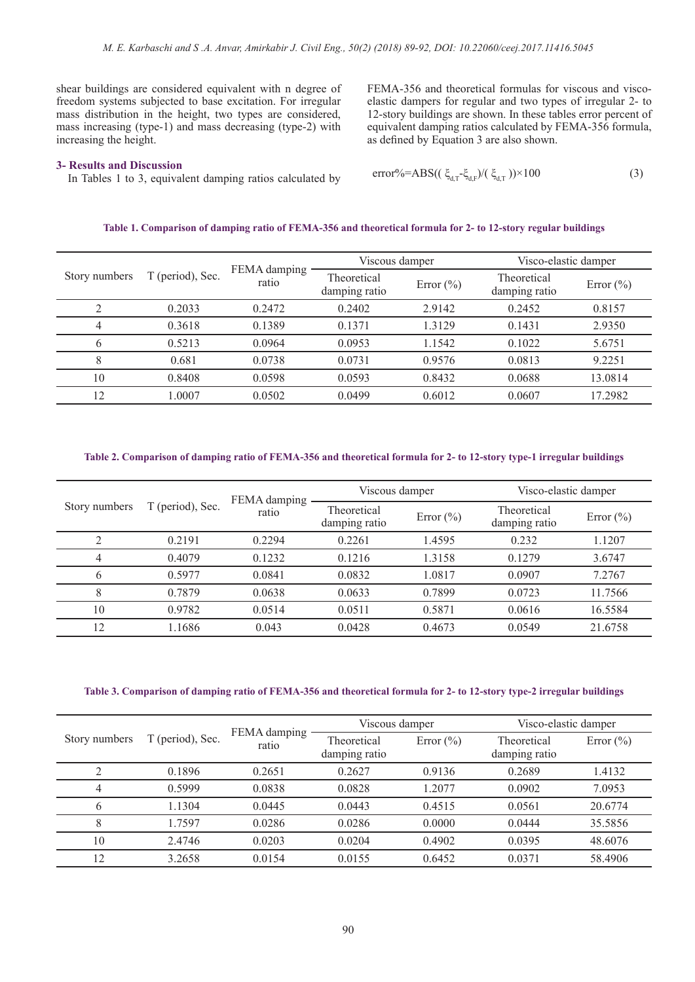shear buildings are considered equivalent with n degree of freedom systems subjected to base excitation. For irregular mass distribution in the height, two types are considered, mass increasing (type-1) and mass decreasing (type-2) with increasing the height.

### **3- Results and Discussion**

In Tables 1 to 3, equivalent damping ratios calculated by  $\text{error} \text{K} = \text{error} \text{K} = \text{RBS}((\zeta_{d,T} - \zeta_{d,F})/(\zeta_{d,T})$ 

FEMA-356 and theoretical formulas for viscous and viscoelastic dampers for regular and two types of irregular 2- to 12-story buildings are shown. In these tables error percent of equivalent damping ratios calculated by FEMA-356 formula, as defined by Equation 3 are also shown.

$$
error\% = ABS((\xi_{\text{dT}} - \xi_{\text{dF}})/(\xi_{\text{dT}})) \times 100
$$
\n(3)

# **Table 1. Comparison of damping ratio of FEMA-356 and theoretical formula for 2- to 12-story regular buildings**

| Story numbers | T (period), Sec. | FEMA damping<br>ratio | Viscous damper               |               | Visco-elastic damper         |               |
|---------------|------------------|-----------------------|------------------------------|---------------|------------------------------|---------------|
|               |                  |                       | Theoretical<br>damping ratio | Error $(\% )$ | Theoretical<br>damping ratio | Error $(\% )$ |
|               | 0.2033           | 0.2472                | 0.2402                       | 2.9142        | 0.2452                       | 0.8157        |
| 4             | 0.3618           | 0.1389                | 0.1371                       | 1.3129        | 0.1431                       | 2.9350        |
| 6             | 0.5213           | 0.0964                | 0.0953                       | 1.1542        | 0.1022                       | 5.6751        |
| 8             | 0.681            | 0.0738                | 0.0731                       | 0.9576        | 0.0813                       | 9.2251        |
| 10            | 0.8408           | 0.0598                | 0.0593                       | 0.8432        | 0.0688                       | 13.0814       |
| 12            | .0007            | 0.0502                | 0.0499                       | 0.6012        | 0.0607                       | 17.2982       |

## **Table 2. Comparison of damping ratio of FEMA-356 and theoretical formula for 2- to 12-story type-1 irregular buildings**

| Story numbers | T (period), Sec. | FEMA damping<br>ratio | Viscous damper               |               | Visco-elastic damper         |               |
|---------------|------------------|-----------------------|------------------------------|---------------|------------------------------|---------------|
|               |                  |                       | Theoretical<br>damping ratio | Error $(\% )$ | Theoretical<br>damping ratio | Error $(\% )$ |
| $\bigcap$     | 0.2191           | 0.2294                | 0.2261                       | 1.4595        | 0.232                        | 1.1207        |
| 4             | 0.4079           | 0.1232                | 0.1216                       | 1.3158        | 0.1279                       | 3.6747        |
| 6             | 0.5977           | 0.0841                | 0.0832                       | 1.0817        | 0.0907                       | 7.2767        |
|               | 0.7879           | 0.0638                | 0.0633                       | 0.7899        | 0.0723                       | 11.7566       |
| 10            | 0.9782           | 0.0514                | 0.0511                       | 0.5871        | 0.0616                       | 16.5584       |
| 12            | 1.1686           | 0.043                 | 0.0428                       | 0.4673        | 0.0549                       | 21.6758       |

### **Table 3. Comparison of damping ratio of FEMA-356 and theoretical formula for 2- to 12-story type-2 irregular buildings**

| Story numbers | T (period), Sec. | FEMA damping<br>ratio | Viscous damper               |               | Visco-elastic damper         |               |
|---------------|------------------|-----------------------|------------------------------|---------------|------------------------------|---------------|
|               |                  |                       | Theoretical<br>damping ratio | Error $(\% )$ | Theoretical<br>damping ratio | Error $(\% )$ |
| ◠             | 0.1896           | 0.2651                | 0.2627                       | 0.9136        | 0.2689                       | 1.4132        |
| 4             | 0.5999           | 0.0838                | 0.0828                       | 1.2077        | 0.0902                       | 7.0953        |
| 6             | 1.1304           | 0.0445                | 0.0443                       | 0.4515        | 0.0561                       | 20.6774       |
|               | 1.7597           | 0.0286                | 0.0286                       | 0.0000        | 0.0444                       | 35.5856       |
| 10            | 2.4746           | 0.0203                | 0.0204                       | 0.4902        | 0.0395                       | 48.6076       |
| 12            | 3.2658           | 0.0154                | 0.0155                       | 0.6452        | 0.0371                       | 58.4906       |